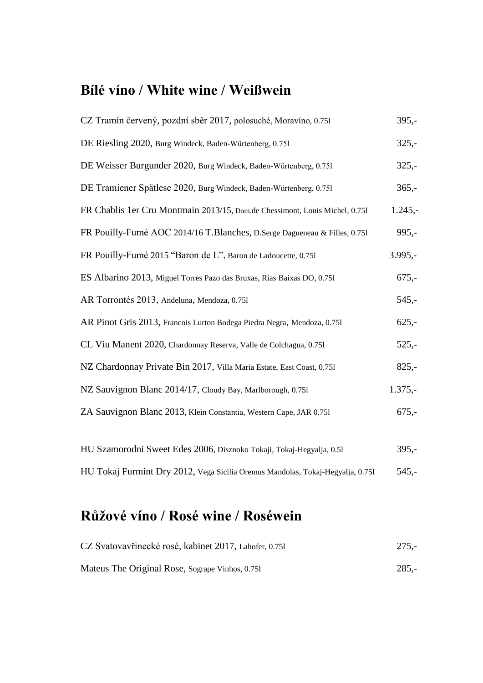### **Bílé víno / White wine / Weißwein**

| CZ Tramín červený, pozdní sběr 2017, polosuché, Moravíno, 0.751                | $395,-$    |
|--------------------------------------------------------------------------------|------------|
| DE Riesling 2020, Burg Windeck, Baden-Würtenberg, 0.751                        | $325,-$    |
| DE Weisser Burgunder 2020, Burg Windeck, Baden-Würtenberg, 0.751               | $325,-$    |
| DE Tramiener Spätlese 2020, Burg Windeck, Baden-Würtenberg, 0.751              | $365,-$    |
| FR Chablis 1er Cru Montmain 2013/15, Dom.de Chessimont, Louis Michel, 0.751    | $1.245, -$ |
| FR Pouilly-Fumé AOC 2014/16 T.Blanches, D.Serge Dagueneau & Filles, 0.751      | $995,-$    |
| FR Pouilly-Fumé 2015 "Baron de L", Baron de Ladoucette, 0.751                  | $3.995,-$  |
| ES Albarino 2013, Miguel Torres Pazo das Bruxas, Rias Baixas DO, 0.751         | $675,-$    |
| AR Torrontés 2013, Andeluna, Mendoza, 0.751                                    | $545,-$    |
| AR Pinot Gris 2013, Francois Lurton Bodega Piedra Negra, Mendoza, 0.751        | $625,-$    |
| CL Viu Manent 2020, Chardonnay Reserva, Valle de Colchagua, 0.751              | $525,-$    |
| NZ Chardonnay Private Bin 2017, Villa Maria Estate, East Coast, 0.751          | $825,-$    |
| NZ Sauvignon Blanc 2014/17, Cloudy Bay, Marlborough, 0.751                     | $1.375,-$  |
| ZA Sauvignon Blanc 2013, Klein Constantia, Western Cape, JAR 0.751             | $675,-$    |
|                                                                                |            |
| HU Szamorodni Sweet Edes 2006, Disznoko Tokaji, Tokaj-Hegyalja, 0.51           | $395,-$    |
| HU Tokaj Furmint Dry 2012, Vega Sicilia Oremus Mandolas, Tokaj-Hegyalja, 0.751 | $545,-$    |

## **Růžové víno / Rosé wine / Roséwein**

| CZ Svatovavřinecké rosé, kabinet 2017, Lahofer, 0.751 | $275. -$ |
|-------------------------------------------------------|----------|
| Mateus The Original Rose, Sogrape Vinhos, 0.751       | $285 -$  |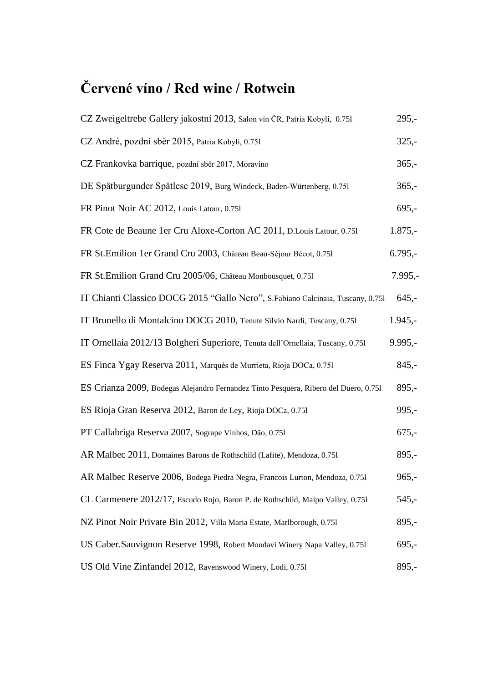# **Červené víno / Red wine / Rotwein**

| CZ Zweigeltrebe Gallery jakostní 2013, Salon vín ČR, Patria Kobylí, 0.751            | $295,-$    |
|--------------------------------------------------------------------------------------|------------|
| CZ André, pozdní sběr 2015, Patria Kobylí, 0.751                                     | $325 -$    |
| CZ Frankovka barrique, pozdní sběr 2017, Moravíno                                    | $365,-$    |
| DE Spätburgunder Spätlese 2019, Burg Windeck, Baden-Würtenberg, 0.751                | $365,-$    |
| FR Pinot Noir AC 2012, Louis Latour, 0.751                                           | $695,-$    |
| FR Cote de Beaune 1er Cru Aloxe-Corton AC 2011, D. Louis Latour, 0.751               | $1.875,-$  |
| FR St. Emilion 1er Grand Cru 2003, Château Beau-Séjour Bécot, 0.751                  | $6.795,-$  |
| FR St.Emilion Grand Cru 2005/06, Château Monbousquet, 0.751                          | $7.995, -$ |
| IT Chianti Classico DOCG 2015 "Gallo Nero", S.Fabiano Calcinaia, Tuscany, 0.751      | $645,-$    |
| IT Brunello di Montalcino DOCG 2010, Tenute Silvio Nardi, Tuscany, 0.751             | $1.945,-$  |
| IT Ornellaia 2012/13 Bolgheri Superiore, Tenuta dell'Ornellaia, Tuscany, 0.751       | $9.995,-$  |
| ES Finca Ygay Reserva 2011, Marqués de Murrieta, Rioja DOCa, 0.751                   | $845,-$    |
| ES Crianza 2009, Bodegas Alejandro Fernandez Tinto Pesquera, Ribero del Duero, 0.751 | $895,-$    |
| ES Rioja Gran Reserva 2012, Baron de Ley, Rioja DOCa, 0.751                          | $995,-$    |
| PT Callabriga Reserva 2007, Sogrape Vinhos, Dão, 0.751                               | $675,-$    |
| AR Malbec 2011, Domaines Barons de Rothschild (Lafite), Mendoza, 0.751               | $895,-$    |
| AR Malbec Reserve 2006, Bodega Piedra Negra, Francois Lurton, Mendoza, 0.751         | $965,-$    |
| CL Carmenere 2012/17, Escudo Rojo, Baron P. de Rothschild, Maipo Valley, 0.751       | $545,-$    |
| NZ Pinot Noir Private Bin 2012, Villa Maria Estate, Marlborough, 0.751               | $895,-$    |
| US Caber.Sauvignon Reserve 1998, Robert Mondavi Winery Napa Valley, 0.751            | $695 -$    |
| US Old Vine Zinfandel 2012, Ravenswood Winery, Lodi, 0.751                           | $895,-$    |